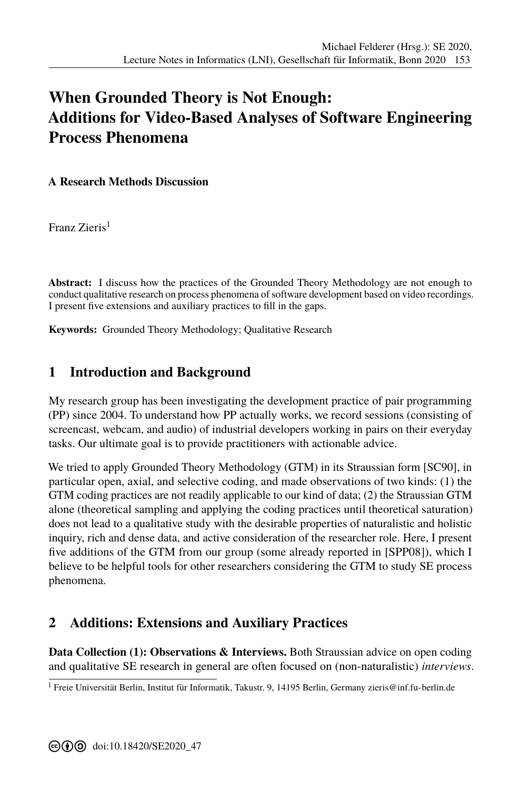## **[W](#page--1-0)hen Grounded Theory is Not Enough: Additions for Video-Based Analyses of Software Engineering Process Phenomena**

**A Research Methods Discussion**

Franz Zieris<sup>1</sup>

**Abstract:** I discuss how the practices of the Grounded Theory Methodology are not enough to conduct qualitative research on process phenomena of software development based on video recordings. I present five extensions and auxiliary practices to fill in the gaps.

**Keywords:** Grounded Theory Methodology; Qualitative Research

## **1 Introduction and Background**

My research group has been investigating the development practice of pair programming (PP) since 2004. To understand how PP actually works, we record sessions (consisting of screencast, webcam, and audio) of industrial developers working in pairs on their everyday tasks. Our ultimate goal is to provide practitioners with actionable advice.

We tried to apply Grounded Theory Methodology (GTM) in its Straussian form [SC90], in particular open, axial, and selective coding, and made observations of two kinds: (1) the GTM coding practices are not readily applicable to our kind of data; (2) the Straussian GTM alone (theoretical sampling and applying the coding practices until theoretical saturation) does not lead to a qualitative study with the desirable properties of naturalistic a[nd holi](#page-1-0)stic inquiry, rich and dense data, and active consideration of the researcher role. Here, I present five additions of the GTM from our group (some already reported in [SPP08]), which I believe to be helpful tools for other researchers considering the GTM to study SE process phenomena.

## **2 Additions: Extensions and Auxiliary Practices**

**Data Collection (1): Observations & Interviews.** Both Straussian advice on open coding and qualitative SE research in general are often focused on (non-naturalistic) *interviews*.

<sup>&</sup>lt;sup>1</sup> Freie Universität Berlin, Institut für Informatik, Takustr. 9, 14195 Berlin, Germany<zieris@inf.fu-berlin.de>